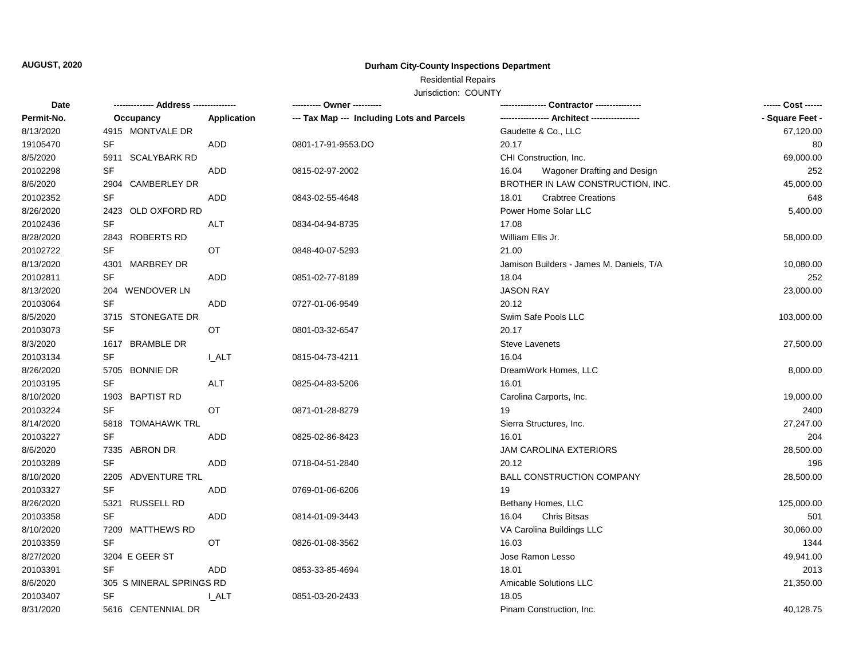### **AUGUST, 2020**

## **Durham City-County Inspections Department**

# Residential Repairs

Jurisdiction: COUNTY

| Date       | -------------- Address --------------- |             | --------- Owner ----------                 |                                          | ------ Cost ------ |
|------------|----------------------------------------|-------------|--------------------------------------------|------------------------------------------|--------------------|
| Permit-No. | Occupancy                              | Application | --- Tax Map --- Including Lots and Parcels |                                          | - Square Feet -    |
| 8/13/2020  | 4915 MONTVALE DR                       |             |                                            | Gaudette & Co., LLC                      | 67,120.00          |
| 19105470   | SF                                     | ADD         | 0801-17-91-9553.DO                         | 20.17                                    | 80                 |
| 8/5/2020   | 5911 SCALYBARK RD                      |             |                                            | CHI Construction, Inc.                   | 69,000.00          |
| 20102298   | <b>SF</b>                              | ADD         | 0815-02-97-2002                            | 16.04<br>Wagoner Drafting and Design     | 252                |
| 8/6/2020   | 2904 CAMBERLEY DR                      |             |                                            | BROTHER IN LAW CONSTRUCTION, INC.        | 45,000.00          |
| 20102352   | <b>SF</b>                              | ADD         | 0843-02-55-4648                            | <b>Crabtree Creations</b><br>18.01       | 648                |
| 8/26/2020  | 2423 OLD OXFORD RD                     |             |                                            | Power Home Solar LLC                     | 5,400.00           |
| 20102436   | SF                                     | <b>ALT</b>  | 0834-04-94-8735                            | 17.08                                    |                    |
| 8/28/2020  | 2843 ROBERTS RD                        |             |                                            | William Ellis Jr.                        | 58,000.00          |
| 20102722   | SF<br>OT                               |             | 0848-40-07-5293                            | 21.00                                    |                    |
| 8/13/2020  | 4301 MARBREY DR                        |             |                                            | Jamison Builders - James M. Daniels, T/A | 10,080.00          |
| 20102811   | <b>SF</b>                              | ADD         | 0851-02-77-8189                            | 18.04                                    | 252                |
| 8/13/2020  | 204 WENDOVER LN                        |             |                                            | <b>JASON RAY</b>                         | 23,000.00          |
| 20103064   | <b>SF</b>                              | ADD         | 0727-01-06-9549                            | 20.12                                    |                    |
| 8/5/2020   | 3715 STONEGATE DR                      |             |                                            | Swim Safe Pools LLC                      | 103,000.00         |
| 20103073   | SF<br>OT                               |             | 0801-03-32-6547                            | 20.17                                    |                    |
| 8/3/2020   | 1617 BRAMBLE DR                        |             |                                            | <b>Steve Lavenets</b>                    | 27,500.00          |
| 20103134   | SF                                     | I_ALT       | 0815-04-73-4211                            | 16.04                                    |                    |
| 8/26/2020  | 5705 BONNIE DR                         |             |                                            | DreamWork Homes, LLC                     | 8,000.00           |
| 20103195   | <b>SF</b>                              | ALT         | 0825-04-83-5206                            | 16.01                                    |                    |
| 8/10/2020  | 1903 BAPTIST RD                        |             |                                            | Carolina Carports, Inc.                  | 19,000.00          |
| 20103224   | <b>SF</b><br>OT                        |             | 0871-01-28-8279                            | 19                                       | 2400               |
| 8/14/2020  | 5818 TOMAHAWK TRL                      |             |                                            | Sierra Structures, Inc.                  | 27,247.00          |
| 20103227   | <b>SF</b>                              | ADD         | 0825-02-86-8423                            | 16.01                                    | 204                |
| 8/6/2020   | 7335 ABRON DR                          |             |                                            | <b>JAM CAROLINA EXTERIORS</b>            | 28,500.00          |
| 20103289   | <b>SF</b>                              | ADD         | 0718-04-51-2840                            | 20.12                                    | 196                |
| 8/10/2020  | 2205 ADVENTURE TRL                     |             |                                            | <b>BALL CONSTRUCTION COMPANY</b>         | 28,500.00          |
| 20103327   | <b>SF</b>                              | ADD         | 0769-01-06-6206                            | 19                                       |                    |
| 8/26/2020  | 5321 RUSSELL RD                        |             |                                            | Bethany Homes, LLC                       | 125,000.00         |
| 20103358   | SF                                     | ADD         | 0814-01-09-3443                            | 16.04<br><b>Chris Bitsas</b>             | 501                |
| 8/10/2020  | 7209 MATTHEWS RD                       |             |                                            | VA Carolina Buildings LLC                | 30,060.00          |
| 20103359   | SF<br>OT                               |             | 0826-01-08-3562                            | 16.03                                    | 1344               |
| 8/27/2020  | 3204 E GEER ST                         |             |                                            | Jose Ramon Lesso                         | 49,941.00          |
| 20103391   | <b>SF</b>                              | ADD         | 0853-33-85-4694                            | 18.01                                    | 2013               |
| 8/6/2020   | 305 S MINERAL SPRINGS RD               |             |                                            | <b>Amicable Solutions LLC</b>            | 21,350.00          |
| 20103407   | SF                                     | <b>LALT</b> | 0851-03-20-2433                            | 18.05                                    |                    |
| 8/31/2020  | 5616 CENTENNIAL DR                     |             |                                            | Pinam Construction, Inc.                 | 40,128.75          |